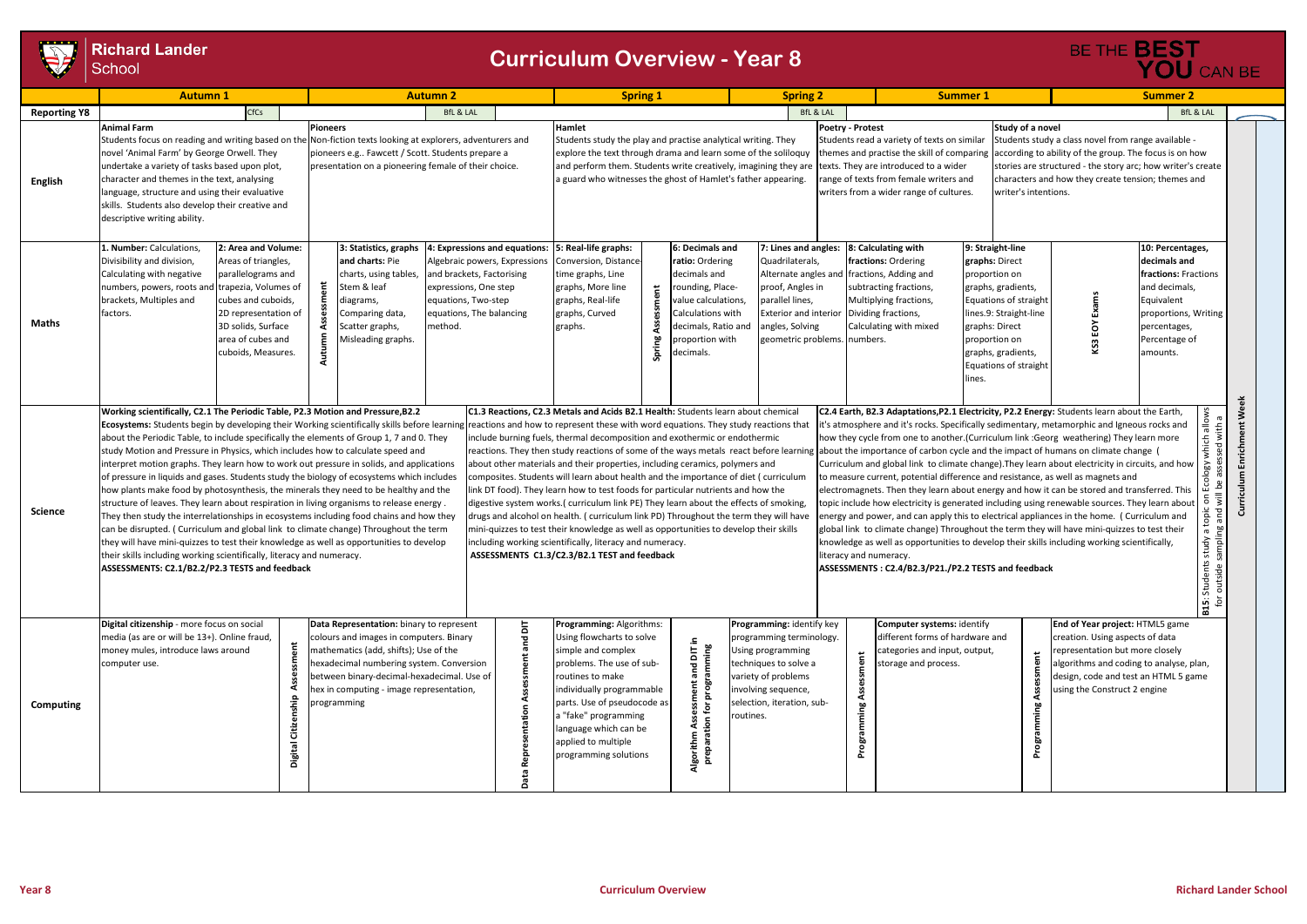## **Richard Lander**<br>School

|                     | <b>Autumn1</b>                                                                                                                                                                                                                                                                                                                                                                                                                                                                                                                                                                                                                                                                                                                                                                                                                                                                                                                                                                                                                                                                                                                                      | <b>Autumn 2</b>                                                                                                                                                                                                                                                                                                                                 | <b>Spring 1</b>                                                                                                                                                                                                                                                                                                                                                                                                                                                                                                                                                                                                                                                                                                                                                                                                                                                                                       | <b>Spring 2</b>                                                                                                                                                                                         | <b>Summer 1</b>                                                                                                                                                                                                                                                                                                                                                                                                                                                                                                                                                                                                                                                                                                                                                                                                                                                                                                                                                                                                                                                                                                                                                                                                                                                                                                                                                                           | <b>Summer 2</b>                                                                                                                                                                                                                    |  |
|---------------------|-----------------------------------------------------------------------------------------------------------------------------------------------------------------------------------------------------------------------------------------------------------------------------------------------------------------------------------------------------------------------------------------------------------------------------------------------------------------------------------------------------------------------------------------------------------------------------------------------------------------------------------------------------------------------------------------------------------------------------------------------------------------------------------------------------------------------------------------------------------------------------------------------------------------------------------------------------------------------------------------------------------------------------------------------------------------------------------------------------------------------------------------------------|-------------------------------------------------------------------------------------------------------------------------------------------------------------------------------------------------------------------------------------------------------------------------------------------------------------------------------------------------|-------------------------------------------------------------------------------------------------------------------------------------------------------------------------------------------------------------------------------------------------------------------------------------------------------------------------------------------------------------------------------------------------------------------------------------------------------------------------------------------------------------------------------------------------------------------------------------------------------------------------------------------------------------------------------------------------------------------------------------------------------------------------------------------------------------------------------------------------------------------------------------------------------|---------------------------------------------------------------------------------------------------------------------------------------------------------------------------------------------------------|-------------------------------------------------------------------------------------------------------------------------------------------------------------------------------------------------------------------------------------------------------------------------------------------------------------------------------------------------------------------------------------------------------------------------------------------------------------------------------------------------------------------------------------------------------------------------------------------------------------------------------------------------------------------------------------------------------------------------------------------------------------------------------------------------------------------------------------------------------------------------------------------------------------------------------------------------------------------------------------------------------------------------------------------------------------------------------------------------------------------------------------------------------------------------------------------------------------------------------------------------------------------------------------------------------------------------------------------------------------------------------------------|------------------------------------------------------------------------------------------------------------------------------------------------------------------------------------------------------------------------------------|--|
| <b>Reporting Y8</b> | CfCs<br><b>BfL &amp; LAL</b>                                                                                                                                                                                                                                                                                                                                                                                                                                                                                                                                                                                                                                                                                                                                                                                                                                                                                                                                                                                                                                                                                                                        |                                                                                                                                                                                                                                                                                                                                                 |                                                                                                                                                                                                                                                                                                                                                                                                                                                                                                                                                                                                                                                                                                                                                                                                                                                                                                       | <b>BfL &amp; LAL</b>                                                                                                                                                                                    |                                                                                                                                                                                                                                                                                                                                                                                                                                                                                                                                                                                                                                                                                                                                                                                                                                                                                                                                                                                                                                                                                                                                                                                                                                                                                                                                                                                           | <b>BfL &amp; LAL</b>                                                                                                                                                                                                               |  |
| <b>English</b>      | <b>Animal Farm</b><br>novel 'Animal Farm' by George Orwell. They<br>undertake a variety of tasks based upon plot,<br>character and themes in the text, analysing<br>language, structure and using their evaluative<br>skills. Students also develop their creative and<br>descriptive writing ability.                                                                                                                                                                                                                                                                                                                                                                                                                                                                                                                                                                                                                                                                                                                                                                                                                                              | <b>Pioneers</b><br>Students focus on reading and writing based on the Non-fiction texts looking at explorers, adventurers and<br>pioneers e.g Fawcett / Scott. Students prepare a<br>presentation on a pioneering female of their choice.                                                                                                       | <b>Hamlet</b><br>Students study the play and practise analytical writing. They<br>explore the text through drama and learn some of the soliloquy<br>and perform them. Students write creatively, imagining they are texts. They are introduced to a wider<br>a guard who witnesses the ghost of Hamlet's father appearing.                                                                                                                                                                                                                                                                                                                                                                                                                                                                                                                                                                            | Poetry - Protest                                                                                                                                                                                        | Study of a novel<br>Students read a variety of texts on similar<br>themes and practise the skill of comparing<br>range of texts from female writers and<br>writers from a wider range of cultures.<br>writer's intentions.                                                                                                                                                                                                                                                                                                                                                                                                                                                                                                                                                                                                                                                                                                                                                                                                                                                                                                                                                                                                                                                                                                                                                                | Students study a class novel from range available -<br>according to ability of the group. The focus is on how<br>stories are structured - the story arc; how writer's create<br>characters and how they create tension; themes and |  |
| <b>Maths</b>        | 1. Number: Calculations,<br>2: Area and Volume:<br>Divisibility and division,<br>Areas of triangles,<br>Calculating with negative<br>parallelograms and<br>numbers, powers, roots and<br>trapezia, Volumes of<br>brackets, Multiples and<br>cubes and cuboids,<br>2D representation of<br>factors.<br>3D solids, Surface<br>area of cubes and<br>cuboids, Measures.                                                                                                                                                                                                                                                                                                                                                                                                                                                                                                                                                                                                                                                                                                                                                                                 | 3: Statistics, graphs<br>4: Expressions and equations:<br>and charts: Pie<br>Algebraic powers, Expressions<br>and brackets, Factorising<br>charts, using tables,<br>Stem & leaf<br>expressions, One step<br>equations, Two-step<br>diagrams,<br>equations, The balancing<br>Comparing data,<br>method.<br>Scatter graphs,<br>Misleading graphs. | 5: Real-life graphs:<br>6: Decimals and<br>Conversion, Distance<br>ratio: Ordering<br>decimals and<br>time graphs, Line<br>graphs, More line<br>rounding, Place-<br>だ<br>graphs, Real-life<br>value calculations,<br>graphs, Curved<br>Calculations with<br>decimals, Ratio and<br>graphs.<br>Spring<br>proportion with<br>decimals.                                                                                                                                                                                                                                                                                                                                                                                                                                                                                                                                                                  | 7: Lines and angles:<br>Quadrilaterals,<br>Alternate angles ar<br>proof, Angles in<br>parallel lines,<br><b>Exterior and interior</b><br>angles, Solving<br>geometric problems. numbers.                | 8: Calculating with<br>9: Straight-line<br>fractions: Ordering<br>graphs: Direct<br>fractions, Adding and<br>proportion on<br>subtracting fractions,<br>graphs, gradients,<br>Multiplying fractions,<br>Equations of straight<br>Dividing fractions,<br>lines.9: Straight-line<br>Calculating with mixed<br>graphs: Direct<br>proportion on<br>graphs, gradients,<br>Equations of straight<br>lines.                                                                                                                                                                                                                                                                                                                                                                                                                                                                                                                                                                                                                                                                                                                                                                                                                                                                                                                                                                                      | 10: Percentages,<br>decimals and<br>fractions: Fractions<br>and decimals,<br>Exams<br>Equivalent<br>proportions, Writing<br>ξÓ<br>percentages,<br>Percentage of<br>KS3<br>amounts.<br>Week                                         |  |
| <b>Science</b>      | Working scientifically, C2.1 The Periodic Table, P2.3 Motion and Pressure, B2.2<br>Ecosystems: Students begin by developing their Working scientifically skills before learning<br>about the Periodic Table, to include specifically the elements of Group 1, 7 and 0. They<br>study Motion and Pressure in Physics, which includes how to calculate speed and<br>interpret motion graphs. They learn how to work out pressure in solids, and applications<br>of pressure in liquids and gases. Students study the biology of ecosystems which includes<br>how plants make food by photosynthesis, the minerals they need to be healthy and the<br>structure of leaves. They learn about respiration in living organisms to release energy<br>They then study the interrelationships in ecosystems including food chains and how they<br>can be disrupted. (Curriculum and global link to climate change) Throughout the term<br>they will have mini-quizzes to test their knowledge as well as opportunities to develop<br>their skills including working scientifically, literacy and numeracy.<br>ASSESSMENTS: C2.1/B2.2/P2.3 TESTS and feedback |                                                                                                                                                                                                                                                                                                                                                 | C1.3 Reactions, C2.3 Metals and Acids B2.1 Health: Students learn about chemica<br>reactions and how to represent these with word equations. They study reactions that<br>nclude burning fuels, thermal decomposition and exothermic or endothermic<br>about other materials and their properties, including ceramics, polymers and<br>composites. Students will learn about health and the importance of diet ( curriculum<br>link DT food). They learn how to test foods for particular nutrients and how the<br>digestive system works.( curriculum link PE) They learn about the effects of smoking,<br>drugs and alcohol on health. ( curriculum link PD) Throughout the term they will have<br>mini-quizzes to test their knowledge as well as opportunities to develop their skills<br>ncluding working scientifically, literacy and numeracy.<br>ASSESSMENTS C1.3/C2.3/B2.1 TEST and feedback |                                                                                                                                                                                                         | which allows<br>C2.4 Earth, B2.3 Adaptations, P2.1 Electricity, P2.2 Energy: Students learn about the Earth,<br>it's atmosphere and it's rocks. Specifically sedimentary, metamorphic and Igneous rocks and<br>with<br>how they cycle from one to another. (Curriculum link : Georg weathering) They learn more<br>bes<br>reactions. They then study reactions of some of the ways metals react before learning about the importance of carbon cycle and the impact of humans on climate change (<br>Curriculum and global link to climate change). They learn about electricity in circuits, and how<br>Ecology<br>to measure current, potential difference and resistance, as well as magnets and<br>electromagnets. Then they learn about energy and how it can be stored and transferred. This<br>liw pue Bu <sub>ll</sub> dues apis<br>No oido a Applius shak<br>topic include how electricity is generated including using renewable sources. They learn about<br>energy and power, and can apply this to electrical appliances in the home. (Curriculum and<br>global link to climate change) Throughout the term they will have mini-quizzes to test their<br>knowledge as well as opportunities to develop their skills including working scientifically,<br>literacy and numeracy.<br>ASSESSMENTS: C2.4/B2.3/P21./P2.2 TESTS and feedback<br>stud<br>buts<br><b>B15:</b><br>for |                                                                                                                                                                                                                                    |  |
| Computing           | Digital citizenship - more focus on social<br>media (as are or will be 13+). Online fraud,<br>ä<br>money mules, introduce laws around<br>computer use.<br><b>Digital Citize</b>                                                                                                                                                                                                                                                                                                                                                                                                                                                                                                                                                                                                                                                                                                                                                                                                                                                                                                                                                                     | Data Representation: binary to represent<br>colours and images in computers. Binary<br>$\bf \sigma$<br>mathematics (add, shifts); Use of the<br>hexadecimal numbering system. Conversion<br>between binary-decimal-hexadecimal. Use of<br>hex in computing - image representation,<br>orogramming<br>음                                          | Programming: Algorithms:<br>Using flowcharts to solve<br>- 그<br>Algorithm Assessment and DIT in<br>preparation for programming<br>simple and complex<br>problems. The use of sub-<br>routines to make<br>individually programmable<br>parts. Use of pseudocode as<br>a "fake" programming<br>language which can be<br>applied to multiple<br>programming solutions                                                                                                                                                                                                                                                                                                                                                                                                                                                                                                                                    | Programming: identify key<br>programming terminology.<br>Using programming<br>techniques to solve a<br>variety of problems<br>involving sequence,<br>selection, iteration, sub-<br>routines.<br>āo<br>ᅕ | Computer systems: identify<br>different forms of hardware and<br>categories and input, output,<br>Assessment<br>storage and process.<br>Programming                                                                                                                                                                                                                                                                                                                                                                                                                                                                                                                                                                                                                                                                                                                                                                                                                                                                                                                                                                                                                                                                                                                                                                                                                                       | End of Year project: HTML5 game<br>creation. Using aspects of data<br>representation but more closely<br>algorithms and coding to analyse, plan,<br>design, code and test an HTML 5 game<br>using the Construct 2 engine           |  |

## BE THE **BEST**<br>YOU CAN BE

## **Curriculum Overview - Year 8**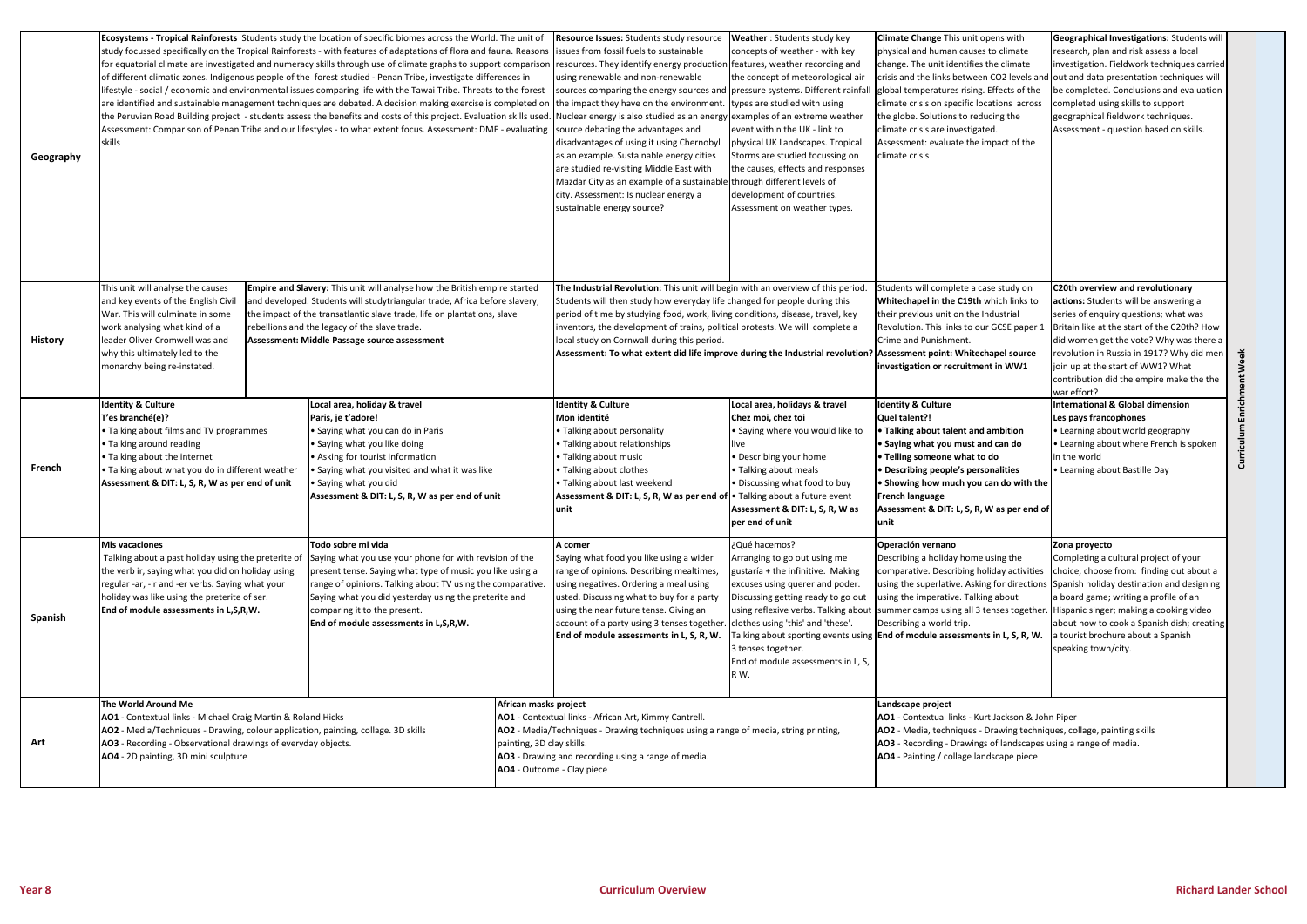| Geography      | Ecosystems - Tropical Rainforests Students study the location of specific biomes across the World. The unit of<br>study focussed specifically on the Tropical Rainforests - with features of adaptations of flora and fauna. Reasons<br>for equatorial climate are investigated and numeracy skills through use of climate graphs to support comparison<br>of different climatic zones. Indigenous people of the forest studied - Penan Tribe, investigate differences in<br>lifestyle - social / economic and environmental issues comparing life with the Tawai Tribe. Threats to the forest<br>are identified and sustainable management techniques are debated. A decision making exercise is completed on<br>the Peruvian Road Building project - students assess the benefits and costs of this project. Evaluation skills used.<br>Assessment: Comparison of Penan Tribe and our lifestyles - to what extent focus. Assessment: DME - evaluating<br>skills |  |                                                                                                                                                                                                      | Resource Issues: Students study resource<br>issues from fossil fuels to sustainable<br>resources. They identify energy production features, weather recording and<br>using renewable and non-renewable<br>sources comparing the energy sources and pressure systems. Different rainfal<br>the impact they have on the environment.<br>Nuclear energy is also studied as an energy examples of an extreme weather<br>source debating the advantages and<br>disadvantages of using it using Chernobyl<br>as an example. Sustainable energy cities<br>are studied re-visiting Middle East with<br>Mazdar City as an example of a sustainable through different levels of<br>city. Assessment: Is nuclear energy a<br>sustainable energy source? | <b>Weather: Students study key</b><br>concepts of weather - with key<br>the concept of meteorological air<br>ypes are studied with using<br>event within the UK - link to<br>physical UK Landscapes. Tropical<br>Storms are studied focussing on<br>the causes, effects and responses<br>development of countries.<br>Assessment on weather types. | <b>Climate Change This unit opens with</b><br>physical and human causes to climate<br>change. The unit identifies the climate<br>crisis and the links between CO2 levels and out and data presentation techniques will<br>global temperatures rising. Effects of the<br>climate crisis on specific locations across<br>the globe. Solutions to reducing the<br>climate crisis are investigated.<br>Assessment: evaluate the impact of the<br>climate crisis                                                                   | Geographical Investigations: Students will<br>research, plan and risk assess a local<br>investigation. Fieldwork techniques carried<br>be completed. Conclusions and evaluation<br>completed using skills to support<br>geographical fieldwork techniques.<br>Assessment - question based on skills.                                                      |                          |
|----------------|-------------------------------------------------------------------------------------------------------------------------------------------------------------------------------------------------------------------------------------------------------------------------------------------------------------------------------------------------------------------------------------------------------------------------------------------------------------------------------------------------------------------------------------------------------------------------------------------------------------------------------------------------------------------------------------------------------------------------------------------------------------------------------------------------------------------------------------------------------------------------------------------------------------------------------------------------------------------|--|------------------------------------------------------------------------------------------------------------------------------------------------------------------------------------------------------|----------------------------------------------------------------------------------------------------------------------------------------------------------------------------------------------------------------------------------------------------------------------------------------------------------------------------------------------------------------------------------------------------------------------------------------------------------------------------------------------------------------------------------------------------------------------------------------------------------------------------------------------------------------------------------------------------------------------------------------------|----------------------------------------------------------------------------------------------------------------------------------------------------------------------------------------------------------------------------------------------------------------------------------------------------------------------------------------------------|-------------------------------------------------------------------------------------------------------------------------------------------------------------------------------------------------------------------------------------------------------------------------------------------------------------------------------------------------------------------------------------------------------------------------------------------------------------------------------------------------------------------------------|-----------------------------------------------------------------------------------------------------------------------------------------------------------------------------------------------------------------------------------------------------------------------------------------------------------------------------------------------------------|--------------------------|
| <b>History</b> | This unit will analyse the causes<br>Empire and Slavery: This unit will analyse how the British empire started<br>and key events of the English Civil<br>and developed. Students will studytriangular trade, Africa before slavery,<br>War. This will culminate in some<br>the impact of the transatlantic slave trade, life on plantations, slave<br>work analysing what kind of a<br>rebellions and the legacy of the slave trade.<br>leader Oliver Cromwell was and<br>Assessment: Middle Passage source assessment<br>why this ultimately led to the<br>monarchy being re-instated.                                                                                                                                                                                                                                                                                                                                                                           |  |                                                                                                                                                                                                      | The Industrial Revolution: This unit will begin with an overview of this period<br>Students will then study how everyday life changed for people during this<br>period of time by studying food, work, living conditions, disease, travel, key<br>inventors, the development of trains, political protests. We will complete a<br>local study on Cornwall during this period.<br>Assessment: To what extent did life improve during the Industrial revolution?                                                                                                                                                                                                                                                                               |                                                                                                                                                                                                                                                                                                                                                    | Students will complete a case study on<br><b>Whitechapel in the C19th which links to</b><br>their previous unit on the Industrial<br>Revolution. This links to our GCSE paper 1<br>Crime and Punishment.<br>Assessment point: Whitechapel source<br>investigation or recruitment in WW1                                                                                                                                                                                                                                       | C20th overview and revolutionary<br>actions: Students will be answering a<br>series of enquiry questions; what was<br>Britain like at the start of the C20th? How<br>did women get the vote? Why was there a<br>revolution in Russia in 1917? Why did men<br>join up at the start of WW1? What<br>contribution did the empire make the the<br>war effort? | Week                     |
| French         | <b>Identity &amp; Culture</b><br>Local area, holiday & travel<br>T'es branché(e)?<br>Paris, je t'adore!<br>• Talking about films and TV programmes<br>• Saying what you can do in Paris<br>• Talking around reading<br>• Saying what you like doing<br>• Talking about the internet<br>• Asking for tourist information<br>. Talking about what you do in different weather<br>• Saying what you visited and what it was like<br>Assessment & DIT: L, S, R, W as per end of unit<br>• Saying what you did<br>Assessment & DIT: L, S, R, W as per end of unit                                                                                                                                                                                                                                                                                                                                                                                                      |  |                                                                                                                                                                                                      | <b>Identity &amp; Culture</b><br>Mon identité<br>• Talking about personality<br>• Talking about relationships<br>• Talking about music<br>· Talking about clothes<br>· Talking about last weekend<br>Assessment & DIT: L, S, R, W as per end of • Talking about a future event<br>unit                                                                                                                                                                                                                                                                                                                                                                                                                                                       | Local area, holidays & travel<br>Chez moi, chez toi<br>• Saying where you would like to<br>live<br>• Describing your home<br>• Talking about meals<br>· Discussing what food to buy<br>Assessment & DIT: L, S, R, W as<br>per end of unit                                                                                                          | <b>Identity &amp; Culture</b><br>Quel talent?!<br>• Talking about talent and ambition<br>Saying what you must and can do<br>• Telling someone what to do<br>• Describing people's personalities<br>• Showing how much you can do with the<br>French language<br>Assessment & DIT: L, S, R, W as per end of<br>unit                                                                                                                                                                                                            | International & Global dimension<br>Les pays francophones<br>• Learning about world geography<br>• Learning about where French is spoken<br>in the world<br>• Learning about Bastille Day                                                                                                                                                                 | Enrichment<br>Curriculum |
| Spanish        | Todo sobre mi vida<br><b>Mis vacaciones</b><br>Talking about a past holiday using the preterite of<br>Saying what you use your phone for with revision of the<br>the verb ir, saying what you did on holiday using<br>present tense. Saying what type of music you like using a<br>range of opinions. Talking about TV using the comparative.<br>regular -ar, -ir and -er verbs. Saying what your<br>holiday was like using the preterite of ser.<br>Saying what you did yesterday using the preterite and<br>End of module assessments in L,S,R,W.<br>comparing it to the present.<br>End of module assessments in L,S,R,W.                                                                                                                                                                                                                                                                                                                                      |  |                                                                                                                                                                                                      | A comer<br>Saying what food you like using a wider<br>range of opinions. Describing mealtimes,<br>using negatives. Ordering a meal using<br>usted. Discussing what to buy for a party<br>using the near future tense. Giving an<br>account of a party using 3 tenses together. clothes using 'this' and 'these'.<br>End of module assessments in L, S, R, W.                                                                                                                                                                                                                                                                                                                                                                                 | ¿Qué hacemos?<br>Arranging to go out using me<br>gustaría + the infinitive. Making<br>excuses using querer and poder.<br>Discussing getting ready to go out<br>using reflexive verbs. Talking about<br>3 tenses together.<br>End of module assessments in L, S,<br>R W.                                                                            | Operación vernano<br>Describing a holiday home using the<br>comparative. Describing holiday activities   choice, choose from: finding out about a<br>using the superlative. Asking for directions Spanish holiday destination and designing<br>using the imperative. Talking about<br>summer camps using all 3 tenses together. Hispanic singer; making a cooking video<br>Describing a world trip.<br>Talking about sporting events using <b>End of module assessments in L, S, R, W.</b> a tourist brochure about a Spanish | Zona proyecto<br>Completing a cultural project of your<br>a board game; writing a profile of an<br>about how to cook a Spanish dish; creating<br>speaking town/city.                                                                                                                                                                                      |                          |
| Art            | The World Around Me<br>African masks project<br>AO1 - Contextual links - Michael Craig Martin & Roland Hicks<br>AO2 - Media/Techniques - Drawing, colour application, painting, collage. 3D skills<br>AO3 - Recording - Observational drawings of everyday objects.<br>painting, 3D clay skills.<br>AO4 - 2D painting, 3D mini sculpture<br>AO4 - Outcome - Clay piece                                                                                                                                                                                                                                                                                                                                                                                                                                                                                                                                                                                            |  | AO1 - Contextual links - African Art, Kimmy Cantrell.<br>AO2 - Media/Techniques - Drawing techniques using a range of media, string printing,<br>AO3 - Drawing and recording using a range of media. |                                                                                                                                                                                                                                                                                                                                                                                                                                                                                                                                                                                                                                                                                                                                              | Landscape project<br>AO1 - Contextual links - Kurt Jackson & John Piper<br>AO2 - Media, techniques - Drawing techniques, collage, painting skills<br>AO3 - Recording - Drawings of landscapes using a range of media.<br>AO4 - Painting / collage landscape piece                                                                                  |                                                                                                                                                                                                                                                                                                                                                                                                                                                                                                                               |                                                                                                                                                                                                                                                                                                                                                           |                          |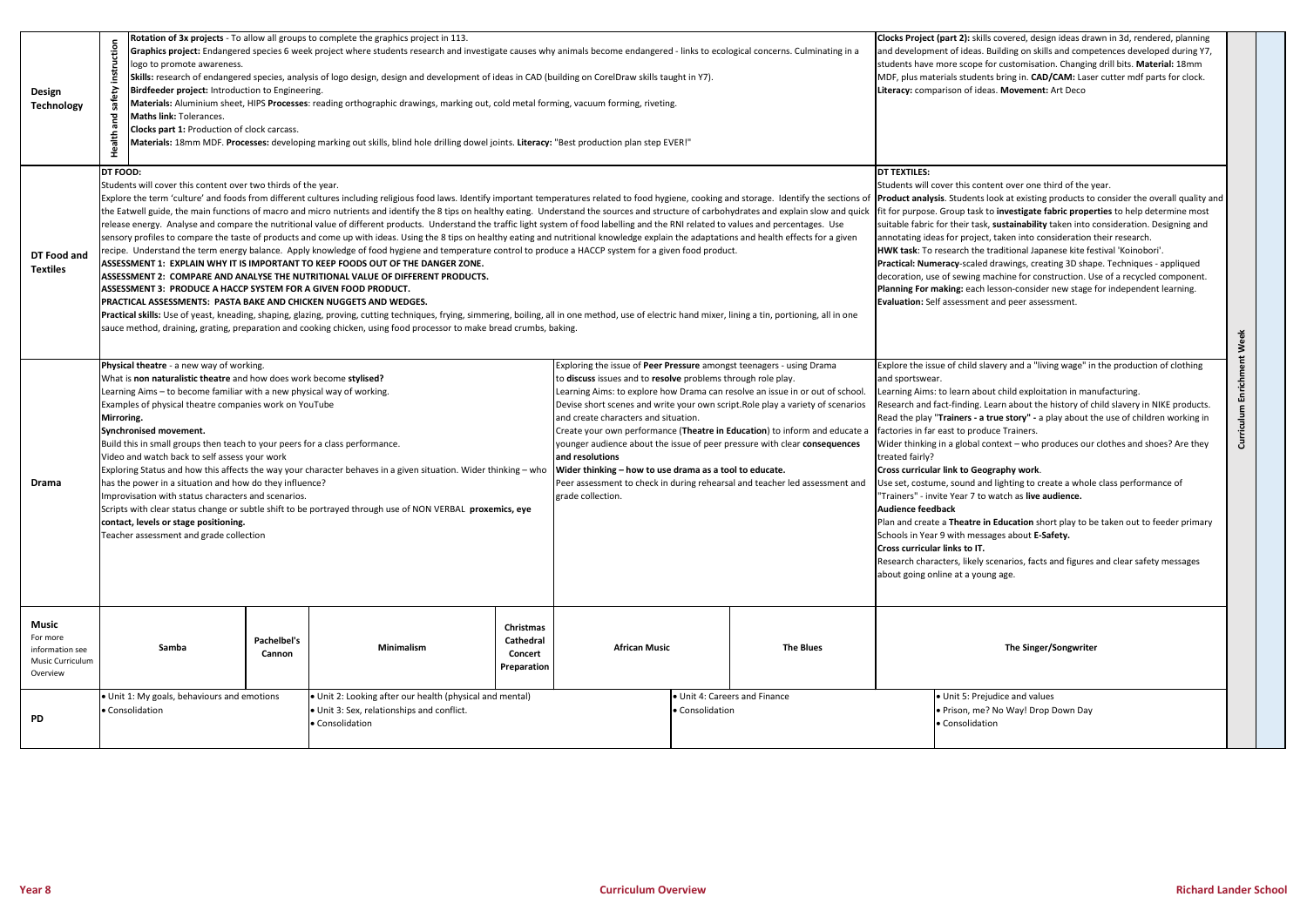| Design<br><b>Technology</b>                                                 | Rotation of 3x projects - To allow all groups to complete the graphics project in 113.<br>Graphics project: Endangered species 6 week project where students research and investigate causes why animals become endangered - links to ecological concerns. Culminating in a<br>logo to promote awareness.<br>instr<br>Skills: research of endangered species, analysis of logo design, design and development of ideas in CAD (building on CorelDraw skills taught in Y7).<br>afety<br>Birdfeeder project: Introduction to Engineering.<br>Materials: Aluminium sheet, HIPS Processes: reading orthographic drawings, marking out, cold metal forming, vacuum forming, riveting.<br>Maths link: Tolerances.<br>pue<br>Clocks part 1: Production of clock carcass.<br>Health<br>"Materials: 18mm MDF. Processes: developing marking out skills, blind hole drilling dowel joints. Literacy: "Best production plan step EVER!"                                                                                                                                                                                                                                                                                                                                                                                                                                                                                                                                                                                                                                                                                                                                                                         |                       |                                                                                                                                                                                                                                                                                                                                                                                                                                                                                                                                                                                                                                                                                              |                      |                                                  | Clocks Project (part 2): skills covered, design ideas drawn in 3d, rendered, planning<br>and development of ideas. Building on skills and competences developed during Y7,<br>students have more scope for customisation. Changing drill bits. Material: 18mm<br>MDF, plus materials students bring in. CAD/CAM: Laser cutter mdf parts for clock.<br>Literacy: comparison of ideas. Movement: Art Deco                                                                                                                                                                                                                                                                                                                                                                                                                                                                                                                                                                                                                                                    |                                                                                          |                          |  |
|-----------------------------------------------------------------------------|------------------------------------------------------------------------------------------------------------------------------------------------------------------------------------------------------------------------------------------------------------------------------------------------------------------------------------------------------------------------------------------------------------------------------------------------------------------------------------------------------------------------------------------------------------------------------------------------------------------------------------------------------------------------------------------------------------------------------------------------------------------------------------------------------------------------------------------------------------------------------------------------------------------------------------------------------------------------------------------------------------------------------------------------------------------------------------------------------------------------------------------------------------------------------------------------------------------------------------------------------------------------------------------------------------------------------------------------------------------------------------------------------------------------------------------------------------------------------------------------------------------------------------------------------------------------------------------------------------------------------------------------------------------------------------------------------|-----------------------|----------------------------------------------------------------------------------------------------------------------------------------------------------------------------------------------------------------------------------------------------------------------------------------------------------------------------------------------------------------------------------------------------------------------------------------------------------------------------------------------------------------------------------------------------------------------------------------------------------------------------------------------------------------------------------------------|----------------------|--------------------------------------------------|------------------------------------------------------------------------------------------------------------------------------------------------------------------------------------------------------------------------------------------------------------------------------------------------------------------------------------------------------------------------------------------------------------------------------------------------------------------------------------------------------------------------------------------------------------------------------------------------------------------------------------------------------------------------------------------------------------------------------------------------------------------------------------------------------------------------------------------------------------------------------------------------------------------------------------------------------------------------------------------------------------------------------------------------------------|------------------------------------------------------------------------------------------|--------------------------|--|
| DT Food and<br><b>Textiles</b>                                              | <b>DT FOOD:</b><br>Students will cover this content over two thirds of the year.<br>Explore the term 'culture' and foods from different cultures including religious food laws. Identify important temperatures related to food hygiene, cooking and storage. Identify the sections of<br>the Eatwell guide, the main functions of macro and micro nutrients and identify the 8 tips on healthy eating. Understand the sources and structure of carbohydrates and explain slow and quick<br>release energy. Analyse and compare the nutritional value of different products. Understand the traffic light system of food labelling and the RNI related to values and percentages. Use<br>sensory profiles to compare the taste of products and come up with ideas. Using the 8 tips on healthy eating and nutritional knowledge explain the adaptations and health effects for a given<br>recipe. Understand the term energy balance. Apply knowledge of food hygiene and temperature control to produce a HACCP system for a given food product.<br>ASSESSMENT 1: EXPLAIN WHY IT IS IMPORTANT TO KEEP FOODS OUT OF THE DANGER ZONE.<br>ASSESSMENT 2:  COMPARE AND ANALYSE THE NUTRITIONAL VALUE OF DIFFERENT PRODUCTS.<br>ASSESSMENT 3:  PRODUCE A HACCP SYSTEM FOR A GIVEN FOOD PRODUCT.<br>PRACTICAL ASSESSMENTS:  PASTA BAKE AND CHICKEN NUGGETS AND WEDGES.<br>Practical skills: Use of yeast, kneading, shaping, glazing, proving, cutting techniques, frying, simmering, boiling, all in one method, use of electric hand mixer, lining a tin, portioning, all in one<br>sauce method, draining, grating, preparation and cooking chicken, using food processor to make bread crumbs, baking. |                       |                                                                                                                                                                                                                                                                                                                                                                                                                                                                                                                                                                                                                                                                                              |                      |                                                  | <b>DT TEXTILES:</b><br>Students will cover this content over one third of the year.<br><b>Product analysis.</b> Students look at existing products to consider the overall quality and<br>fit for purpose. Group task to investigate fabric properties to help determine most<br>suitable fabric for their task, sustainability taken into consideration. Designing and<br>annotating ideas for project, taken into consideration their research.<br>HWK task: To research the traditional Japanese kite festival 'Koinobori'.<br>Practical: Numeracy-scaled drawings, creating 3D shape. Techniques - appliqued<br>decoration, use of sewing machine for construction. Use of a recycled component.<br>Planning For making: each lesson-consider new stage for independent learning.<br>Evaluation: Self assessment and peer assessment.<br>Week                                                                                                                                                                                                          |                                                                                          |                          |  |
| Drama                                                                       | Physical theatre - a new way of working.<br>What is non naturalistic theatre and how does work become stylised?<br>Learning Aims – to become familiar with a new physical way of working.<br>Examples of physical theatre companies work on YouTube<br>Mirroring.<br>Synchronised movement.<br>Build this in small groups then teach to your peers for a class performance.<br>Video and watch back to self assess your work<br>Exploring Status and how this affects the way your character behaves in a given situation. Wider thinking - who<br>has the power in a situation and how do they influence?<br>Improvisation with status characters and scenarios.<br>Scripts with clear status change or subtle shift to be portrayed through use of NON VERBAL proxemics, eye<br>contact, levels or stage positioning.<br>Teacher assessment and grade collection                                                                                                                                                                                                                                                                                                                                                                                                                                                                                                                                                                                                                                                                                                                                                                                                                                   |                       | Exploring the issue of Peer Pressure amongst teenagers - using Drama<br>to discuss issues and to resolve problems through role play.<br>Learning Aims: to explore how Drama can resolve an issue in or out of school.<br>Devise short scenes and write your own script. Role play a variety of scenarios<br>and create characters and situation.<br>Create your own performance (Theatre in Education) to inform and educate a<br>younger audience about the issue of peer pressure with clear consequences<br>and resolutions<br>Wider thinking - how to use drama as a tool to educate.<br>Peer assessment to check in during rehearsal and teacher led assessment and<br>grade collection |                      |                                                  | Explore the issue of child slavery and a "living wage" in the production of clothing<br>and sportswear.<br>Learning Aims: to learn about child exploitation in manufacturing.<br>Research and fact-finding. Learn about the history of child slavery in NIKE products.<br>Read the play "Trainers - a true story" - a play about the use of children working in<br>factories in far east to produce Trainers.<br>Wider thinking in a global context - who produces our clothes and shoes? Are they<br>treated fairly?<br><b>Cross curricular link to Geography work.</b><br>Use set, costume, sound and lighting to create a whole class performance of<br>'Trainers" - invite Year 7 to watch as <b>live audience.</b><br><b>Audience feedback</b><br>Plan and create a Theatre in Education short play to be taken out to feeder primary<br>Schools in Year 9 with messages about E-Safety.<br>Cross curricular links to IT.<br>Research characters, likely scenarios, facts and figures and clear safety messages<br>about going online at a young age. |                                                                                          | Enrichment<br>Curriculum |  |
| <b>Music</b><br>For more<br>information see<br>Music Curriculum<br>Overview | Samba                                                                                                                                                                                                                                                                                                                                                                                                                                                                                                                                                                                                                                                                                                                                                                                                                                                                                                                                                                                                                                                                                                                                                                                                                                                                                                                                                                                                                                                                                                                                                                                                                                                                                                | Pachelbel's<br>Cannon | Christmas<br><b>Cathedral</b><br><b>Minimalism</b><br>Concert<br>Preparation                                                                                                                                                                                                                                                                                                                                                                                                                                                                                                                                                                                                                 | <b>African Music</b> |                                                  | <b>The Blues</b>                                                                                                                                                                                                                                                                                                                                                                                                                                                                                                                                                                                                                                                                                                                                                                                                                                                                                                                                                                                                                                           | The Singer/Songwriter                                                                    |                          |  |
| PD                                                                          | . Unit 1: My goals, behaviours and emotions<br>• Consolidation                                                                                                                                                                                                                                                                                                                                                                                                                                                                                                                                                                                                                                                                                                                                                                                                                                                                                                                                                                                                                                                                                                                                                                                                                                                                                                                                                                                                                                                                                                                                                                                                                                       |                       | . Unit 2: Looking after our health (physical and mental)<br>• Unit 3: Sex, relationships and conflict.<br>• Consolidation                                                                                                                                                                                                                                                                                                                                                                                                                                                                                                                                                                    |                      | · Unit 4: Careers and Finance<br>• Consolidation |                                                                                                                                                                                                                                                                                                                                                                                                                                                                                                                                                                                                                                                                                                                                                                                                                                                                                                                                                                                                                                                            | · Unit 5: Prejudice and values<br>. Prison, me? No Way! Drop Down Day<br>• Consolidation |                          |  |